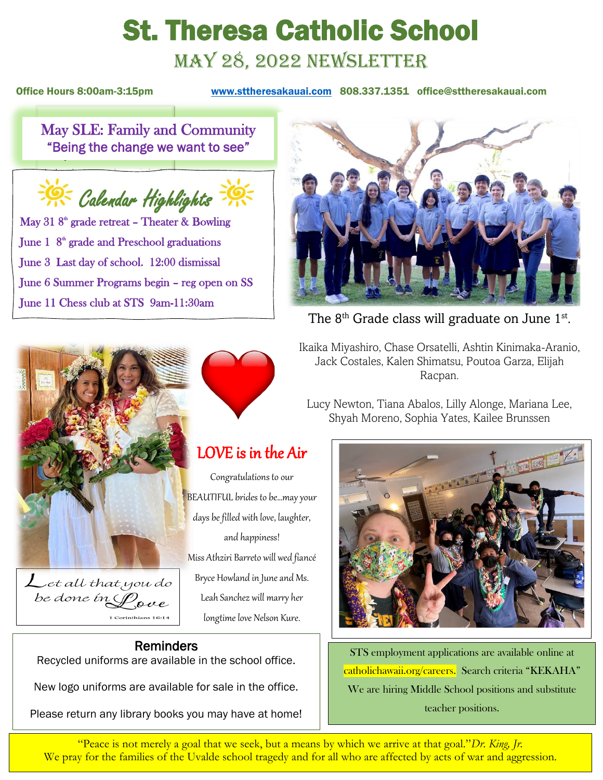# St. Theresa Catholic School

# May 28, 2022 Newsletter

Office Hours 8:00am-3:15pm [www.sttheresakauai.com](http://www.sttheresakauai.com/) 808.337.1351 office@sttheresakauai.com

May SLE: Family and Community "Being the change we want to see"

Calendar Highlights

May 31 $8<sup>th</sup>$  grade retreat – Theater & Bowling June 1 8<sup>th</sup> grade and Preschool graduations June 3 Last day of school. 12:00 dismissal June 6 Summer Programs begin – reg open on SS June 11 Chess club at STS 9am-11:30am



The  $8<sup>th</sup>$  Grade class will graduate on June  $1<sup>st</sup>$ .

Ikaika Miyashiro, Chase Orsatelli, Ashtin Kinimaka-Aranio, Jack Costales, Kalen Shimatsu, Poutoa Garza, Elijah Racpan.

Lucy Newton, Tiana Abalos, Lilly Alonge, Mariana Lee, Shyah Moreno, Sophia Yates, Kailee Brunssen

# LOVE is in the Air

Congratulations to our BEAUTIFUL brides to be…may your days be filled with love, laughter, and happiness! Miss Athziri Barreto will wed fiancé Bryce Howland in June and Ms. Leah Sanchez will marry her longtime love Nelson Kure.

 $\mathcal{L}$  et all that you do<br>be done in  $\mathscr{P}_{\mathsf{ove}}$ 

#### **Reminders**

Recycled uniforms are available in the school office.

New logo uniforms are available for sale in the office.

Please return any library books you may have at home!



STS employment applications are available online at catholichawaii.org/careers. Search criteria "KEKAHA" We are hiring Middle School positions and substitute teacher positions.

"Peace is not merely a goal that we seek, but a means by which we arrive at that goal."*Dr. King, Jr.* We pray for the families of the Uvalde school tragedy and for all who are affected by acts of war and aggression.